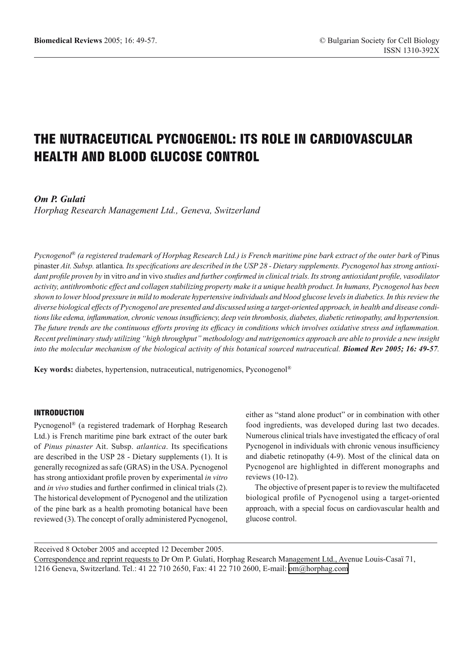# THE NUTRACEUTICAL PYCNOGENOL: ITS ROLE IN CARDIOVASCULAR HEALTH AND BLOOD GLUCOSE CONTROL

# *Om P. Gulati*

*Horphag Research Management Ltd., Geneva, Switzerland*

*Pycnogenol*® *(a registered trademark of Horphag Research Ltd.) is French maritime pine bark extract of the outer bark of* Pinus pinaster *Ait. Subsp.* atlantica*. Its specifications are described in the USP 28 - Dietary supplements. Pycnogenol has strong antioxidant profile proven by* in vitro *and* in vivo *studies and further confirmed in clinical trials. Its strong antioxidant profile, vasodilator activity, antithrombotic effect and collagen stabilizing property make it a unique health product. In humans, Pycnogenol has been shown to lower blood pressure in mild to moderate hypertensive individuals and blood glucose levels in diabetics. In this review the diverse biological effects of Pycnogenol are presented and discussed using a target-oriented approach, in health and disease conditions like edema, inflammation, chronic venous insufficiency, deep vein thrombosis, diabetes, diabetic retinopathy, and hypertension. The future trends are the continuous efforts proving its efficacy in conditions which involves oxidative stress and inflammation. Recent preliminary study utilizing "high throughput" methodology and nutrigenomics approach are able to provide a new insight into the molecular mechanism of the biological activity of this botanical sourced nutraceutical. Biomed Rev 2005; 16: 49-57.*

**Key words:** diabetes, hypertension, nutraceutical, nutrigenomics, Pyconogenol®

#### INTRODUCTION

Pycnogenol® (a registered trademark of Horphag Research Ltd.) is French maritime pine bark extract of the outer bark of *Pinus pinaster* Ait. Subsp. *atlantica*. Its specifications are described in the USP 28 - Dietary supplements (1). It is generally recognized as safe (GRAS) in the USA. Pycnogenol has strong antioxidant profile proven by experimental *in vitro*  and *in vivo* studies and further confirmed in clinical trials (2). The historical development of Pycnogenol and the utilization of the pine bark as a health promoting botanical have been reviewed (3). The concept of orally administered Pycnogenol,

either as "stand alone product" or in combination with other food ingredients, was developed during last two decades. Numerous clinical trials have investigated the efficacy of oral Pycnogenol in individuals with chronic venous insufficiency and diabetic retinopathy (4-9). Most of the clinical data on Pycnogenol are highlighted in different monographs and reviews (10-12).

The objective of present paper is to review the multifaceted biological profile of Pycnogenol using a target-oriented approach, with a special focus on cardiovascular health and glucose control.

Received 8 October 2005 and accepted 12 December 2005. Correspondence and reprint requests to Dr Om P. Gulati, Horphag Research Management Ltd., Avenue Louis-Casaï 71, 1216 Geneva, Switzerland. Tel.: 41 22 710 2650, Fax: 41 22 710 2600, E-mail: [om@horphag.com](mailto:om@horphag.com)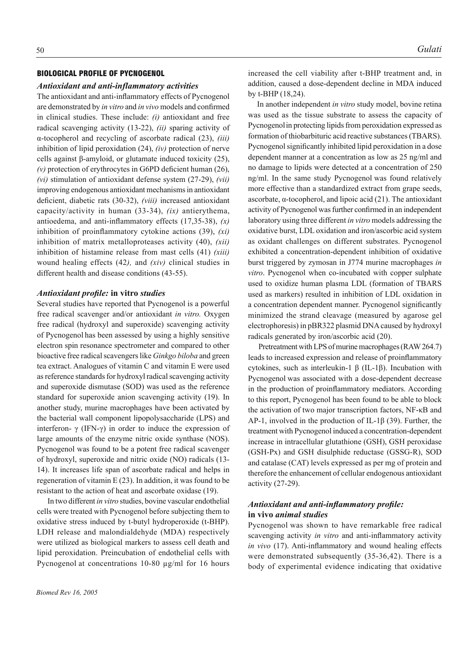#### BIOLOGICAL PROFILE OF PYCNOGENOL

#### *Antioxidant and anti-inflammatory activities*

The antioxidant and anti-inflammatory effects of Pycnogenol are demonstrated by *in vitro* and *in vivo* models and confirmed in clinical studies. These include: *(i)* antioxidant and free radical scavenging activity (13-22), *(ii)* sparing activity of α-tocopherol and recycling of ascorbate radical (23), *(iii)* inhibition of lipid peroxidation (24), *(iv)* protection of nerve cells against β-amyloid, or glutamate induced toxicity (25), *(v)* protection of erythrocytes in G6PD deficient human (26), *(vi)* stimulation of antioxidant defense system (27-29), *(vii)* improving endogenous antioxidant mechanisms in antioxidant deficient, diabetic rats (30-32), *(viii)* increased antioxidant capacity/activity in human (33-34), *(ix)* antierythema, antioedema, and anti-inflammatory effects (17,35-38), *(x)* inhibition of proinflammatory cytokine actions (39), *(xi)* inhibition of matrix metalloproteases activity (40), *(xii)* inhibition of histamine release from mast cells (41) *(xiii)* wound healing effects (42*),* and *(xiv)* clinical studies in different health and disease conditions (43-55).

#### *Antioxidant profile:* **in vitro** *studies*

Several studies have reported that Pycnogenol is a powerful free radical scavenger and/or antioxidant *in vitro.* Oxygen free radical (hydroxyl and superoxide) scavenging activity of Pycnogenol has been assessed by using a highly sensitive electron spin resonance spectrometer and compared to other bioactive free radical scavengers like *Ginkgo biloba* and green tea extract. Analogues of vitamin C and vitamin E were used as reference standards for hydroxyl radical scavenging activity and superoxide dismutase (SOD) was used as the reference standard for superoxide anion scavenging activity (19). In another study, murine macrophages have been activated by the bacterial wall component lipopolysaccharide (LPS) and interferon- γ (IFN-γ) in order to induce the expression of large amounts of the enzyme nitric oxide synthase (NOS). Pycnogenol was found to be a potent free radical scavenger of hydroxyl, superoxide and nitric oxide (NO) radicals (13- 14). It increases life span of ascorbate radical and helps in regeneration of vitamin E (23). In addition, it was found to be resistant to the action of heat and ascorbate oxidase (19).

 In two different *in vitro* studies, bovine vascular endothelial cells were treated with Pycnogenol before subjecting them to oxidative stress induced by t-butyl hydroperoxide (t-BHP). LDH release and malondialdehyde (MDA) respectively were utilized as biological markers to assess cell death and lipid peroxidation. Preincubation of endothelial cells with Pycnogenol at concentrations 10-80 µg/ml for 16 hours increased the cell viability after t-BHP treatment and, in addition, caused a dose-dependent decline in MDA induced by t-BHP (18,24).

In another independent *in vitro* study model, bovine retina was used as the tissue substrate to assess the capacity of Pycnogenolin protecting lipids from peroxidation expressed as formation of thiobarbituric acid reactive substances (TBARS). Pycnogenol significantly inhibited lipid peroxidation in a dose dependent manner at a concentration as low as 25 ng/ml and no damage to lipids were detected at a concentration of 250 ng/ml. In the same study Pycnogenol was found relatively more effective than a standardized extract from grape seeds, ascorbate, α-tocopherol, and lipoic acid (21). The antioxidant activity of Pycnogenol was further confirmed in an independent laboratory using three different *in vitro* models addressing the oxidative burst, LDL oxidation and iron/ascorbic acid system as oxidant challenges on different substrates. Pycnogenol exhibited a concentration-dependent inhibition of oxidative burst triggered by zymosan in J774 murine macrophages *in vitro*. Pycnogenol when co-incubated with copper sulphate used to oxidize human plasma LDL (formation of TBARS used as markers) resulted in inhibition of LDL oxidation in a concentration dependent manner. Pycnogenol significantly minimized the strand cleavage (measured by agarose gel electrophoresis) in pBR322 plasmid DNA caused by hydroxyl radicals generated by iron/ascorbic acid (20).

 Pretreatment with LPS of murine macrophages (RAW 264.7) leads to increased expression and release of proinflammatory cytokines, such as interleukin-1 β (IL-1β). Incubation with Pycnogenol was associated with a dose-dependent decrease in the production of proinflammatory mediators. According to this report, Pycnogenol has been found to be able to block the activation of two major transcription factors, NF-κB and AP-1, involved in the production of IL-1β (39). Further, the treatment with Pycnogenol induced a concentration-dependent increase in intracellular glutathione (GSH), GSH peroxidase (GSH-Px) and GSH disulphide reductase (GSSG-R), SOD and catalase (CAT) levels expressed as per mg of protein and therefore the enhancement of cellular endogenous antioxidant activity (27-29).

# *Antioxidant and anti-inflammatory profile:* **in vivo** *animal studies*

Pycnogenol was shown to have remarkable free radical scavenging activity *in vitro* and anti-inflammatory activity *in vivo* (17). Anti-inflammatory and wound healing effects were demonstrated subsequently (35-36,42). There is a body of experimental evidence indicating that oxidative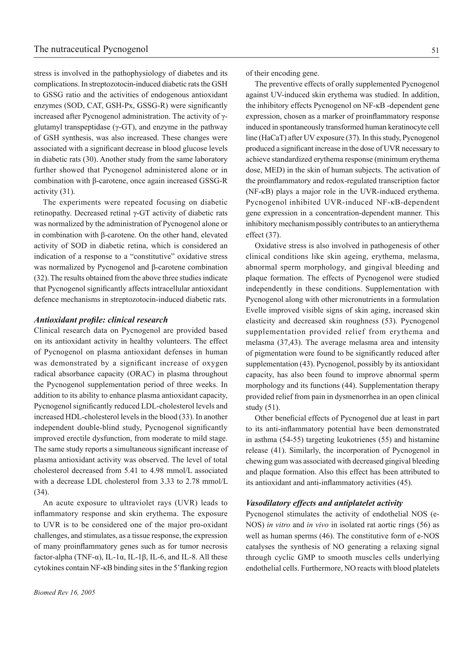stress is involved in the pathophysiology of diabetes and its complications. In streptozotocin-induced diabetic rats the GSH to GSSG ratio and the activities of endogenous antioxidant enzymes (SOD, CAT, GSH-Px, GSSG-R) were significantly increased after Pycnogenol administration. The activity of γglutamyl transpeptidase ( $γ$ -GT), and enzyme in the pathway of GSH synthesis, was also increased. These changes were associated with a significant decrease in blood glucose levels in diabetic rats (30). Another study from the same laboratory further showed that Pycnogenol administered alone or in combination with β-carotene, once again increased GSSG-R activity (31).

The experiments were repeated focusing on diabetic retinopathy. Decreased retinal γ-GT activity of diabetic rats was normalized by the administration of Pycnogenol alone or in combination with β-carotene. On the other hand, elevated activity of SOD in diabetic retina, which is considered an indication of a response to a "constitutive" oxidative stress was normalized by Pycnogenol and β-carotene combination (32). The results obtained from the above three studies indicate that Pycnogenol significantly affects intracellular antioxidant defence mechanisms in streptozotocin-induced diabetic rats.

#### *Antioxidant profile: clinical research*

Clinical research data on Pycnogenol are provided based on its antioxidant activity in healthy volunteers. The effect of Pycnogenol on plasma antioxidant defenses in human was demonstrated by a significant increase of oxygen radical absorbance capacity (ORAC) in plasma throughout the Pycnogenol supplementation period of three weeks. In addition to its ability to enhance plasma antioxidant capacity, Pycnogenol significantly reduced LDL-cholesterol levels and increased HDL-cholesterol levels in the blood (33). In another independent double-blind study, Pycnogenol significantly improved erectile dysfunction, from moderate to mild stage. The same study reports a simultaneous significant increase of plasma antioxidant activity was observed. The level of total cholesterol decreased from 5.41 to 4.98 mmol/L associated with a decrease LDL cholesterol from 3.33 to 2.78 mmol/L (34).

An acute exposure to ultraviolet rays (UVR) leads to inflammatory response and skin erythema. The exposure to UVR is to be considered one of the major pro-oxidant challenges, and stimulates, as a tissue response, the expression of many proinflammatory genes such as for tumor necrosis factor-alpha (TNF- $\alpha$ ), IL-1 $\alpha$ , IL-1 $\beta$ , IL-6, and IL-8. All these cytokines contain NF-κB binding sites in the 5'flanking region of their encoding gene.

The preventive effects of orally supplemented Pycnogenol against UV-induced skin erythema was studied. In addition, the inhibitory effects Pycnogenol on NF-κB -dependent gene expression, chosen as a marker of proinflammatory response induced in spontaneously transformed human keratinocyte cell line (HaCaT) after UV exposure (37). In this study, Pycnogenol produced a significant increase in the dose of UVR necessary to achieve standardized erythema response (minimum erythema dose, MED) in the skin of human subjects. The activation of the proinflammatory and redox-regulated transcription factor (NF-κB) plays a major role in the UVR-induced erythema. Pycnogenol inhibited UVR-induced NF-κB-dependent gene expression in a concentration-dependent manner. This inhibitory mechanismpossibly contributes to an antierythema effect (37).

Oxidative stress is also involved in pathogenesis of other clinical conditions like skin ageing, erythema, melasma, abnormal sperm morphology, and gingival bleeding and plaque formation. The effects of Pycnogenol were studied independently in these conditions. Supplementation with Pycnogenol along with other micronutrients in a formulation Evelle improved visible signs of skin aging, increased skin elasticity and decreased skin roughness (53). Pycnogenol supplementation provided relief from erythema and melasma (37,43). The average melasma area and intensity of pigmentation were found to be significantly reduced after supplementation (43). Pycnogenol, possibly by its antioxidant capacity, has also been found to improve abnormal sperm morphology and its functions (44). Supplementation therapy provided relief from pain in dysmenorrhea in an open clinical study (51).

Other beneficial effects of Pycnogenol due at least in part to its anti-inflammatory potential have been demonstrated in asthma (54-55) targeting leukotrienes (55) and histamine release (41). Similarly, the incorporation of Pycnogenol in chewing gum was associated with decreased gingival bleeding and plaque formation. Also this effect has been attributed to its antioxidant and anti-inflammatory activities (45).

# *Vasodilatory effects and antiplatelet activity*

Pycnogenol stimulates the activity of endothelial NOS (e-NOS) *in vitro* and *in vivo* in isolated rat aortic rings (56) as well as human sperms (46). The constitutive form of e-NOS catalyses the synthesis of NO generating a relaxing signal through cyclic GMP to smooth muscles cells underlying endothelial cells. Furthermore, NO reacts with blood platelets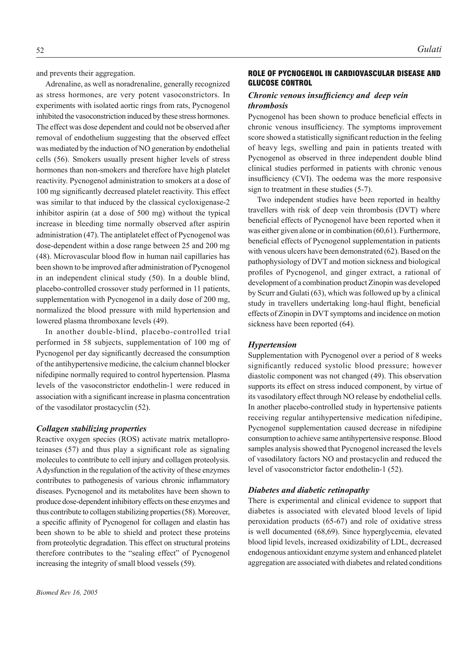and prevents their aggregation.

Adrenaline, as well as noradrenaline, generally recognized as stress hormones, are very potent vasoconstrictors. In experiments with isolated aortic rings from rats, Pycnogenol inhibited the vasoconstriction induced by these stress hormones. The effect was dose dependent and could not be observed after removal of endothelium suggesting that the observed effect was mediated by the induction of NO generation by endothelial cells (56). Smokers usually present higher levels of stress hormones than non-smokers and therefore have high platelet reactivity. Pycnogenol administration to smokers at a dose of 100 mg significantly decreased platelet reactivity. This effect was similar to that induced by the classical cycloxigenase-2 inhibitor aspirin (at a dose of 500 mg) without the typical increase in bleeding time normally observed after aspirin administration (47). The antiplatelet effect of Pycnogenol was dose-dependent within a dose range between 25 and 200 mg (48). Microvascular blood flow in human nail capillaries has been shown to be improved after administration of Pycnogenol in an independent clinical study (50). In a double blind, placebo-controlled crossover study performed in 11 patients, supplementation with Pycnogenol in a daily dose of 200 mg, normalized the blood pressure with mild hypertension and lowered plasma thromboxane levels (49).

In another double-blind, placebo-controlled trial performed in 58 subjects, supplementation of 100 mg of Pycnogenol per day significantly decreased the consumption of the antihypertensive medicine, the calcium channel blocker nifedipine normally required to control hypertension. Plasma levels of the vasoconstrictor endothelin-1 were reduced in association with a significant increase in plasma concentration of the vasodilator prostacyclin (52).

#### *Collagen stabilizing properties*

Reactive oxygen species (ROS) activate matrix metalloproteinases (57) and thus play a significant role as signaling molecules to contribute to cell injury and collagen proteolysis. A dysfunction in the regulation of the activity of these enzymes contributes to pathogenesis of various chronic inflammatory diseases. Pycnogenol and its metabolites have been shown to produce dose-dependent inhibitory effects on these enzymes and thus contribute to collagen stabilizing properties (58). Moreover, a specific affinity of Pycnogenol for collagen and elastin has been shown to be able to shield and protect these proteins from proteolytic degradation. This effect on structural proteins therefore contributes to the "sealing effect" of Pycnogenol increasing the integrity of small blood vessels (59).

# ROLE OF PYCNOGENOL IN CARDIOVASCULAR DISEASE AND GLUCOSE CONTROL

# *Chronic venous insufficiency and deep vein thrombosis*

Pycnogenol has been shown to produce beneficial effects in chronic venous insufficiency. The symptoms improvement score showed a statistically significant reduction in the feeling of heavy legs, swelling and pain in patients treated with Pycnogenol as observed in three independent double blind clinical studies performed in patients with chronic venous insufficiency (CVI). The oedema was the more responsive sign to treatment in these studies (5-7).

Two independent studies have been reported in healthy travellers with risk of deep vein thrombosis (DVT) where beneficial effects of Pycnogenol have been reported when it was either given alone or in combination (60,61). Furthermore, beneficial effects of Pycnogenol supplementation in patients with venous ulcers have been demonstrated (62). Based on the pathophysiology of DVT and motion sickness and biological profiles of Pycnogenol, and ginger extract, a rational of development of a combination product Zinopin was developed by Scurr and Gulati (63), which was followed up by a clinical study in travellers undertaking long-haul flight, beneficial effects of Zinopin in DVT symptoms and incidence on motion sickness have been reported (64).

#### *Hypertension*

Supplementation with Pycnogenol over a period of 8 weeks significantly reduced systolic blood pressure; however diastolic component was not changed (49). This observation supports its effect on stress induced component, by virtue of its vasodilatory effect through NO release by endothelial cells. In another placebo-controlled study in hypertensive patients receiving regular antihypertensive medication nifedipine, Pycnogenol supplementation caused decrease in nifedipine consumption to achieve same antihypertensive response. Blood samples analysis showed that Pycnogenol increased the levels of vasodilatory factors NO and prostacyclin and reduced the level of vasoconstrictor factor endothelin-1 (52).

### *Diabetes and diabetic retinopathy*

There is experimental and clinical evidence to support that diabetes is associated with elevated blood levels of lipid peroxidation products (65-67) and role of oxidative stress is well documented (68,69). Since hyperglycemia, elevated blood lipid levels, increased oxidizability of LDL, decreased endogenous antioxidant enzyme system and enhanced platelet aggregation are associated with diabetes and related conditions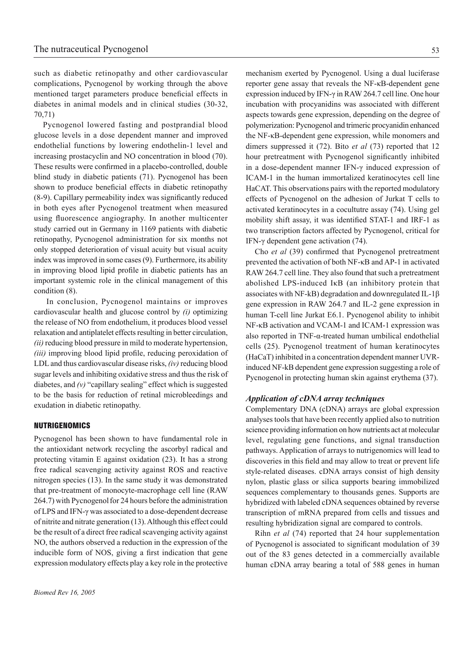such as diabetic retinopathy and other cardiovascular complications, Pycnogenol by working through the above mentioned target parameters produce beneficial effects in diabetes in animal models and in clinical studies (30-32, 70,71)

Pycnogenol lowered fasting and postprandial blood glucose levels in a dose dependent manner and improved endothelial functions by lowering endothelin-1 level and increasing prostacyclin and NO concentration in blood (70). These results were confirmed in a placebo-controlled, double blind study in diabetic patients (71). Pycnogenol has been shown to produce beneficial effects in diabetic retinopathy (8-9). Capillary permeability index was significantly reduced in both eyes after Pycnogenol treatment when measured using fluorescence angiography. In another multicenter study carried out in Germany in 1169 patients with diabetic retinopathy, Pycnogenol administration for six months not only stopped deterioration of visual acuity but visual acuity index was improved in some cases (9). Furthermore, its ability in improving blood lipid profile in diabetic patients has an important systemic role in the clinical management of this condition (8).

 In conclusion, Pycnogenol maintains or improves cardiovascular health and glucose control by *(i)* optimizing the release of NO from endothelium, it produces blood vessel relaxation and antiplatelet effects resulting in better circulation, *(ii)* reducing blood pressure in mild to moderate hypertension, *(iii)* improving blood lipid profile, reducing peroxidation of LDL and thus cardiovascular disease risks, *(iv)* reducing blood sugar levels and inhibiting oxidative stress and thus the risk of diabetes, and *(v)* "capillary sealing" effect which is suggested to be the basis for reduction of retinal microbleedings and exudation in diabetic retinopathy.

#### NUTRIGENOMICS

Pycnogenol has been shown to have fundamental role in the antioxidant network recycling the ascorbyl radical and protecting vitamin E against oxidation (23). It has a strong free radical scavenging activity against ROS and reactive nitrogen species (13). In the same study it was demonstrated that pre-treatment of monocyte-macrophage cell line (RAW 264.7) with Pycnogenol for 24 hours before the administration of LPS and IFN-γ was associated to a dose-dependent decrease of nitrite and nitrate generation (13). Although this effect could be the result of a direct free radical scavenging activity against NO, the authors observed a reduction in the expression of the inducible form of NOS, giving a first indication that gene expression modulatory effects play a key role in the protective

mechanism exerted by Pycnogenol. Using a dual luciferase reporter gene assay that reveals the NF-κB-dependent gene expression induced by IFN-γ in RAW 264.7 cell line. One hour incubation with procyanidins was associated with different aspects towards gene expression, depending on the degree of polymerization: Pycnogenol and trimeric procyanidin enhanced the NF-κB-dependent gene expression, while monomers and dimers suppressed it (72). Bito *et al* (73) reported that 12 hour pretreatment with Pycnogenol significantly inhibited in a dose-dependent manner IFN-γ induced expression of ICAM-1 in the human immortalized keratinocytes cell line HaCAT. This observations pairs with the reported modulatory effects of Pycnogenol on the adhesion of Jurkat T cells to activated keratinocytes in a cocultutre assay (74). Using gel mobility shift assay, it was identified STAT-1 and IRF-1 as two transcription factors affected by Pycnogenol, critical for IFN-γ dependent gene activation (74).

Cho *et al* (39) confirmed that Pycnogenol pretreatment prevented the activation of both NF-κB and AP-1 in activated RAW 264.7 cell line. They also found that such a pretreatment abolished LPS-induced IκB (an inhibitory protein that associates with NF-kB) degradation and downregulated IL-1β gene expression in RAW 264.7 and IL-2 gene expression in human T-cell line Jurkat E6.1. Pycnogenol ability to inhibit NF-κB activation and VCAM-1 and ICAM-1 expression was also reported in TNF-α-treated human umbilical endothelial cells (25). Pycnogenol treatment of human keratinocytes (HaCaT) inhibited in a concentration dependent manner UVRinduced NF-kB dependent gene expression suggesting a role of Pycnogenol in protecting human skin against erythema (37).

# *Application of cDNA array techniques*

Complementary DNA (cDNA) arrays are global expression analyses tools that have been recently applied also to nutrition science providing information on how nutrients act at molecular level, regulating gene functions, and signal transduction pathways. Application of arrays to nutrigenomics will lead to discoveries in this field and may allow to treat or prevent life style-related diseases. cDNA arrays consist of high density nylon, plastic glass or silica supports bearing immobilized sequences complementary to thousands genes. Supports are hybridized with labeled cDNA sequences obtained by reverse transcription of mRNA prepared from cells and tissues and resulting hybridization signal are compared to controls.

Rihn *et al* (74) reported that 24 hour supplementation of Pycnogenol is associated to significant modulation of 39 out of the 83 genes detected in a commercially available human cDNA array bearing a total of 588 genes in human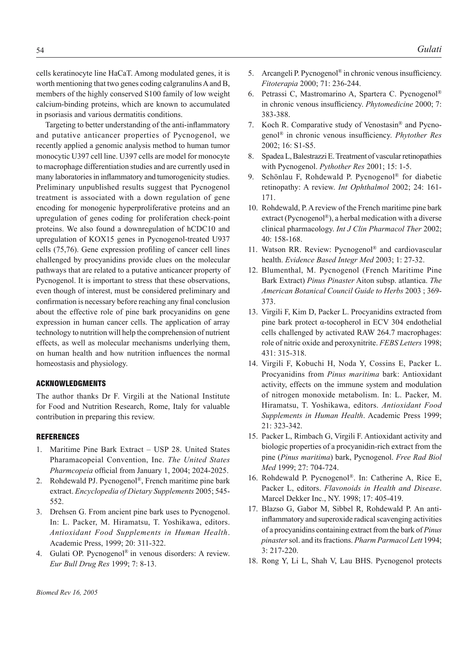cells keratinocyte line HaCaT. Among modulated genes, it is worth mentioning that two genes coding calgranulins A and B, members of the highly conserved S100 family of low weight calcium-binding proteins, which are known to accumulated in psoriasis and various dermatitis conditions.

Targeting to better understanding of the anti-inflammatory and putative anticancer properties of Pycnogenol, we recently applied a genomic analysis method to human tumor monocytic U397 cell line. U397 cells are model for monocyte to macrophage differentiation studies and are currently used in many laboratories in inflammatory and tumorogenicity studies. Preliminary unpublished results suggest that Pycnogenol treatment is associated with a down regulation of gene encoding for monogenic hyperproliferative proteins and an upregulation of genes coding for proliferation check-point proteins. We also found a downregulation of hCDC10 and upregulation of KOX15 genes in Pycnogenol-treated U937 cells (75,76). Gene expression profiling of cancer cell lines challenged by procyanidins provide clues on the molecular pathways that are related to a putative anticancer property of Pycnogenol. It is important to stress that these observations, even though of interest, must be considered preliminary and confirmation is necessary before reaching any final conclusion about the effective role of pine bark procyanidins on gene expression in human cancer cells. The application of array technology to nutrition will help the comprehension of nutrient effects, as well as molecular mechanisms underlying them, on human health and how nutrition influences the normal homeostasis and physiology.

# ACKNOWLEDGMENTS

The author thanks Dr F. Virgili at the National Institute for Food and Nutrition Research, Rome, Italy for valuable contribution in preparing this review.

# **REFERENCES**

- 1. Maritime Pine Bark Extract USP 28. United States Pharamacopeial Convention, Inc. *The United States Pharmcopeia* official from January 1, 2004; 2024-2025.
- 2. Rohdewald PJ. Pycnogenol®, French maritime pine bark extract. *Encyclopedia of Dietary Supplements* 2005; 545- 552.
- 3. Drehsen G. From ancient pine bark uses to Pycnogenol. In: L. Packer, M. Hiramatsu, T. Yoshikawa, editors. *Antioxidant Food Supplements in Human Health*. Academic Press, 1999; 20: 311-322.
- 4. Gulati OP. Pycnogenol® in venous disorders: A review. *Eur Bull Drug Res* 1999; 7: 8-13.
- 5. Arcangeli P. Pycnogenol<sup>®</sup> in chronic venous insufficiency. *Fitoterapia* 2000; 71: 236-244.
- 6. Petrassi C, Mastromarino A, Spartera C. Pycnogenol® in chronic venous insufficiency. *Phytomedicine* 2000; 7: 383-388.
- 7. Koch R. Comparative study of Venostasin® and Pycnogenol® in chronic venous insufficiency. *Phytother Res*  2002; 16: S1-S5.
- 8. Spadea L, Balestrazzi E. Treatment of vascular retinopathies with Pycnogenol. *Pythother Res* 2001; 15: 1-5.
- 9. Schönlau F, Rohdewald P. Pycnogenol® for diabetic retinopathy: A review. *Int Ophthalmol* 2002; 24: 161- 171.
- 10. Rohdewald, P. A review of the French maritime pine bark extract (Pycnogenol®), a herbal medication with a diverse clinical pharmacology. *Int J Clin Pharmacol Ther* 2002; 40: 158-168.
- 11. Watson RR. Review: Pycnogenol® and cardiovascular health. *Evidence Based Integr Med* 2003; 1: 27-32.
- 12. Blumenthal, M. Pycnogenol (French Maritime Pine Bark Extract) *Pinus Pinaster* Aiton subsp. atlantica. *The American Botanical Council Guide to Herbs* 2003 ; 369- 373.
- 13. Virgili F, Kim D, Packer L. Procyanidins extracted from pine bark protect α-tocopherol in ECV 304 endothelial cells challenged by activated RAW 264.7 macrophages: role of nitric oxide and peroxynitrite. *FEBS Letters* 1998; 431: 315-318.
- 14. Virgili F, Kobuchi H, Noda Y, Cossins E, Packer L. Procyanidins from *Pinus maritima* bark: Antioxidant activity, effects on the immune system and modulation of nitrogen monoxide metabolism. In: L. Packer, M. Hiramatsu, T. Yoshikawa, editors. *Antioxidant Food Supplements in Human Health*. Academic Press 1999; 21: 323-342.
- 15. Packer L, Rimbach G, Virgili F. Antioxidant activity and biologic properties of a procyanidin-rich extract from the pine (*Pinus maritima*) bark, Pycnogenol. *Free Rad Biol Med* 1999; 27: 704-724.
- 16. Rohdewald P. Pycnogenol®. In: Catherine A, Rice E, Packer L, editors. *Flavonoids in Health and Disease*. Marcel Dekker Inc., NY. 1998; 17: 405-419.
- 17. Blazso G, Gabor M, Sibbel R, Rohdewald P. An antiinflammatory and superoxide radical scavenging activities of a procyanidins containing extract from the bark of *Pinus pinaster* sol. and its fractions. *Pharm Parmacol Lett* 1994; 3: 217-220.
- 18. Rong Y, Li L, Shah V, Lau BHS. Pycnogenol protects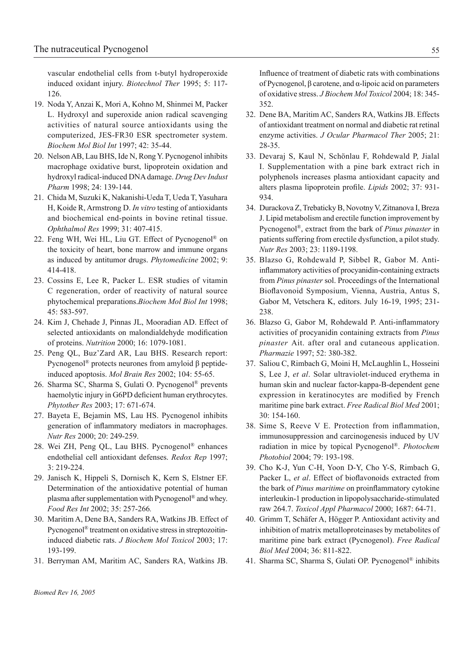vascular endothelial cells from t-butyl hydroperoxide induced oxidant injury. *Biotechnol Ther* 1995; 5: 117- 126.

- 19. Noda Y, Anzai K, Mori A, Kohno M, Shinmei M, Packer L. Hydroxyl and superoxide anion radical scavenging activities of natural source antioxidants using the computerized, JES-FR30 ESR spectrometer system. *Biochem Mol Biol Int* 1997; 42: 35-44.
- 20. Nelson AB, Lau BHS, Ide N, Rong Y. Pycnogenol inhibits macrophage oxidative burst, lipoprotein oxidation and hydroxyl radical-induced DNA damage. *Drug Dev Indust Pharm* 1998; 24: 139-144.
- 21. Chida M, Suzuki K, Nakanishi-Ueda T, Ueda T, Yasuhara H, Koide R, Armstrong D. *In vitro* testing of antioxidants and biochemical end-points in bovine retinal tissue. *Ophthalmol Res* 1999; 31: 407-415.
- 22. Feng WH, Wei HL, Liu GT. Effect of Pycnogenol® on the toxicity of heart, bone marrow and immune organs as induced by antitumor drugs. *Phytomedicine* 2002; 9: 414-418.
- 23. Cossins E, Lee R, Packer L. ESR studies of vitamin C regeneration, order of reactivity of natural source phytochemical preparations.*Biochem Mol Biol Int* 1998; 45: 583-597.
- 24. Kim J, Chehade J, Pinnas JL, Mooradian AD. Effect of selected antioxidants on malondialdehyde modification of proteins. *Nutrition* 2000; 16: 1079-1081.
- 25. Peng QL, Buz'Zard AR, Lau BHS. Research report: Pycnogenol® protects neurones from amyloid β peptideinduced apoptosis. *Mol Brain Res* 2002; 104: 55-65.
- 26. Sharma SC, Sharma S, Gulati O. Pycnogenol® prevents haemolytic injury in G6PD deficient human erythrocytes. *Phytother Res* 2003; 17: 671-674.
- 27. Bayeta E, Bejamin MS, Lau HS. Pycnogenol inhibits generation of inflammatory mediators in macrophages. *Nutr Res* 2000; 20: 249-259.
- 28. Wei ZH, Peng QL, Lau BHS. Pycnogenol® enhances endothelial cell antioxidant defenses. *Redox Rep* 1997; 3: 219-224.
- 29. Janisch K, Hippeli S, Dornisch K, Kern S, Elstner EF. Determination of the antioxidative potential of human plasma after supplementation with Pycnogenol® and whey. *Food Res Int* 2002; 35: 257-266*.*
- 30. Maritim A, Dene BA, Sanders RA, Watkins JB. Effect of Pycnogenol® treatment on oxidative stress in streptozoitininduced diabetic rats. *J Biochem Mol Toxicol* 2003; 17: 193-199.
- 31. Berryman AM, Maritim AC, Sanders RA, Watkins JB.

Influence of treatment of diabetic rats with combinations of Pycnogenol, β carotene, and α-lipoic acid on parameters of oxidative stress. *J Biochem Mol Toxicol* 2004; 18: 345- 352.

- 32. Dene BA, Maritim AC, Sanders RA, Watkins JB. Effects of antioxidant treatment on normal and diabetic rat retinal enzyme activities. *J Ocular Pharmacol Ther* 2005; 21: 28-35.
- 33. Devaraj S, Kaul N, Schönlau F, Rohdewald P, Jialal I. Supplementation with a pine bark extract rich in polyphenols increases plasma antioxidant capacity and alters plasma lipoprotein profile. *Lipids* 2002; 37: 931- 934.
- 34. Durackova Z, Trebaticky B, Novotny V, Zitnanova I, Breza J. Lipid metabolism and erectile function improvement by Pycnogenol®, extract from the bark of *Pinus pinaster* in patients suffering from erectile dysfunction, a pilot study. *Nutr Res* 2003; 23: 1189-1198.
- 35. Blazso G, Rohdewald P, Sibbel R, Gabor M. Antiinflammatory activities of procyanidin-containing extracts from *Pinus pinaster* sol. Proceedings of the International Bioflavonoid Symposium, Vienna, Austria, Antus S, Gabor M, Vetschera K, editors. July 16-19, 1995; 231- 238.
- 36. Blazso G, Gabor M, Rohdewald P. Anti-inflammatory activities of procyanidin containing extracts from *Pinus pinaster* Ait. after oral and cutaneous application. *Pharmazie* 1997; 52: 380-382.
- 37. Saliou C, Rimbach G, Moini H, McLaughlin L, Hosseini S, Lee J, *et al*. Solar ultraviolet-induced erythema in human skin and nuclear factor-kappa-B-dependent gene expression in keratinocytes are modified by French maritime pine bark extract. *Free Radical Biol Med* 2001; 30: 154-160.
- 38. Sime S, Reeve V E. Protection from inflammation, immunosuppression and carcinogenesis induced by UV radiation in mice by topical Pycnogenol®. *Photochem Photobiol* 2004; 79: 193-198.
- 39. Cho K-J, Yun C-H, Yoon D-Y, Cho Y-S, Rimbach G, Packer L, *et al*. Effect of bioflavonoids extracted from the bark of *Pinus maritime* on proinflammatory cytokine interleukin-1 production in lipopolysaccharide-stimulated raw 264.7. *Toxicol Appl Pharmacol* 2000; 1687: 64-71.
- 40. Grimm T, Schäfer A, Högger P. Antioxidant activity and inhibition of matrix metalloproteinases by metabolites of maritime pine bark extract (Pycnogenol). *Free Radical Biol Med* 2004; 36: 811-822.
- 41. Sharma SC, Sharma S, Gulati OP. Pycnogenol® inhibits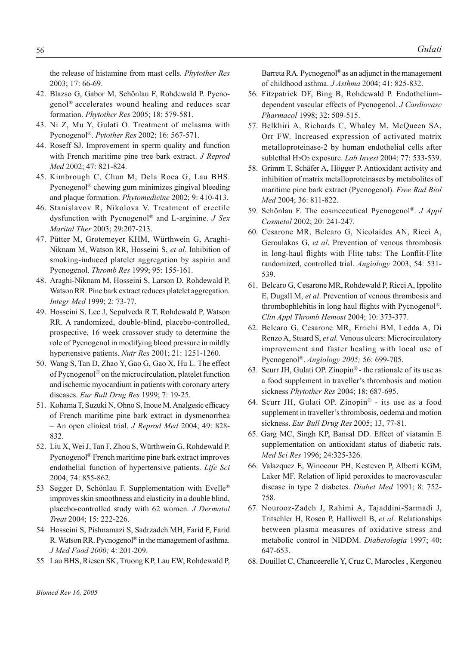the release of histamine from mast cells. *Phytother Res* 2003; 17: 66-69.

- 42. Blazso G, Gabor M, Schönlau F, Rohdewald P. Pycnogenol® accelerates wound healing and reduces scar formation. *Phytother Res* 2005; 18: 579-581.
- 43. Ni Z, Mu Y, Gulati O. Treatment of melasma with Pycnogenol®. *Pytother Res* 2002; 16: 567-571.
- 44. Roseff SJ. Improvement in sperm quality and function with French maritime pine tree bark extract. *J Reprod Med* 2002; 47: 821-824.
- 45. Kimbrough C, Chun M, Dela Roca G, Lau BHS. Pycnogenol® chewing gum minimizes gingival bleeding and plaque formation. *Phytomedicine* 2002; 9: 410-413.
- 46. Stanislavov R, Nikolova V. Treatment of erectile dysfunction with Pycnogenol® and L-arginine. *J Sex Marital Ther* 2003; 29:207-213.
- 47. Pütter M, Grotemeyer KHM, Würthwein G, Araghi-Niknam M, Watson RR, Hosseini S, *et al*. Inhibition of smoking-induced platelet aggregation by aspirin and Pycnogenol. *Thromb Res* 1999; 95: 155-161.
- 48. Araghi-Niknam M, Hosseini S, Larson D, Rohdewald P, Watson RR. Pine bark extract reduces platelet aggregation. *Integr Med* 1999; 2: 73-77.
- 49. Hosseini S, Lee J, Sepulveda R T, Rohdewald P, Watson RR. A randomized, double-blind, placebo-controlled, prospective, 16 week crossover study to determine the role of Pycnogenol in modifying blood pressure in mildly hypertensive patients. *Nutr Res* 2001; 21: 1251-1260.
- 50. Wang S, Tan D, Zhao Y, Gao G, Gao X, Hu L. The effect of Pycnogenol® on the microcirculation, platelet function and ischemic myocardium in patients with coronary artery diseases. *Eur Bull Drug Res* 1999; 7: 19-25.
- 51. Kohama T, Suzuki N, Ohno S, Inoue M. Analgesic efficacy of French maritime pine bark extract in dysmenorrhea – An open clinical trial. *J Reprod Med* 2004; 49: 828- 832.
- 52. Liu X, Wei J, Tan F, Zhou S, Würthwein G, Rohdewald P. Pycnogenol® French maritime pine bark extract improves endothelial function of hypertensive patients. *Life Sci* 2004; 74: 855-862.
- 53 Segger D, Schönlau F. Supplementation with Evelle<sup>®</sup> improves skin smoothness and elasticity in a double blind, placebo-controlled study with 62 women. *J Dermatol Treat* 2004; 15: 222-226.
- 54 Hosseini S, Pishnamazi S, Sadrzadeh MH, Farid F, Farid R. Watson RR. Pycnogenol® in the management of asthma. *J Med Food 2000;* 4: 201-209.
- 55 Lau BHS, Riesen SK, Truong KP, Lau EW, Rohdewald P,

Barreta RA. Pycnogenol<sup>®</sup> as an adjunct in the management of childhood asthma. *J Asthma* 2004; 41: 825-832.

- 56. Fitzpatrick DF, Bing B, Rohdewald P. Endotheliumdependent vascular effects of Pycnogenol. *J Cardiovasc Pharmacol* 1998; 32: 509-515.
- 57. Belkhiri A, Richards C, Whaley M, McQueen SA, Orr FW. Increased expression of activated matrix metalloproteinase-2 by human endothelial cells after sublethal H2O2 exposure. *Lab Invest* 2004; 77: 533-539.
- 58. Grimm T, Schäfer A, Högger P. Antioxidant activity and inhibition of matrix metalloproteinases by metabolites of maritime pine bark extract (Pycnogenol). *Free Rad Biol Med* 2004; 36: 811-822.
- 59. Schönlau F. The cosmeceutical Pycnogenol®. *J Appl Cosmetol* 2002; 20: 241-247.
- 60. Cesarone MR, Belcaro G, Nicolaides AN, Ricci A, Geroulakos G, *et al*. Prevention of venous thrombosis in long-haul flights with Flite tabs: The Lonflit-Flite randomized, controlled trial. *Angiology* 2003; 54: 531- 539.
- 61. Belcaro G, Cesarone MR, Rohdewald P, Ricci A, Ippolito E, Dugall M, *et al*. Prevention of venous thrombosis and thrombophlebitis in long haul flights with Pycnogenol®. *Clin Appl Thromb Hemost* 2004; 10: 373-377.
- 62. Belcaro G, Cesarone MR, Errichi BM, Ledda A, Di Renzo A, Stuard S, *et al.* Venous ulcers: Microcirculatory improvement and faster healing with local use of Pycnogenol®. *Angiology 2005;* 56: 699-705.
- 63. Scurr JH, Gulati OP. Zinopin® the rationale of its use as a food supplement in traveller's thrombosis and motion sickness *Phytother Res* 2004; 18: 687-695.
- 64. Scurr JH, Gulati OP. Zinopin® its use as a food supplement in traveller's thrombosis, oedema and motion sickness. *Eur Bull Drug Res* 2005; 13, 77-81.
- 65. Garg MC, Singh KP, Bansal DD. Effect of viatamin E supplementation on antioxidant status of diabetic rats. *Med Sci Res* 1996; 24:325-326.
- 66. Valazquez E, Winocour PH, Kesteven P, Alberti KGM, Laker MF. Relation of lipid peroxides to macrovascular disease in type 2 diabetes. *Diabet Med* 1991; 8: 752- 758.
- 67. Nourooz-Zadeh J, Rahimi A, Tajaddini-Sarmadi J, Tritschler H, Rosen P, Halliwell B, *et al.* Relationships between plasma measures of oxidative stress and metabolic control in NIDDM. *Diabetologia* 1997; 40: 647-653.
- 68. Douillet C, Chanceerelle Y, Cruz C, Marocles , Kergonou